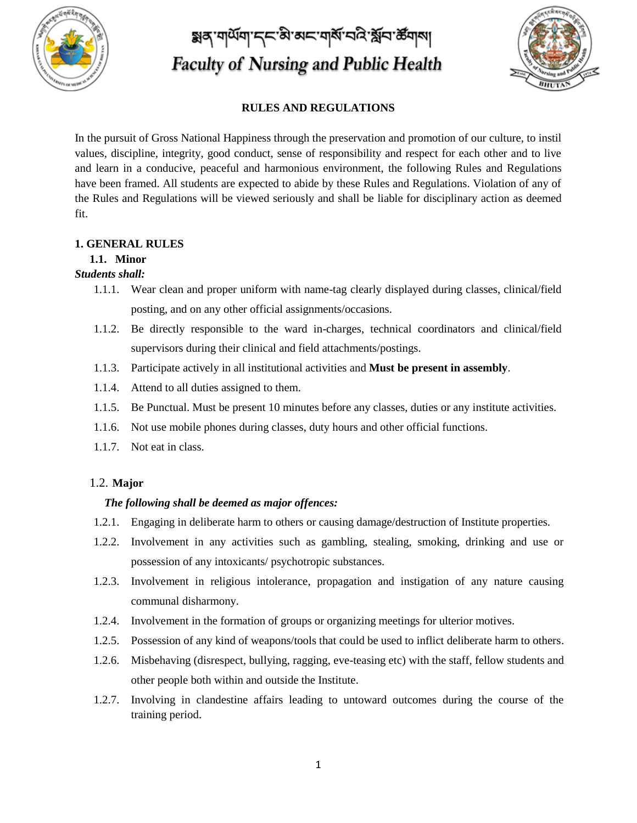

য়ৰ্ণ শাৰ্মশ দ্ৰত ষ্টা অন শৰ্ম নবি শ্বিন ৰ্ষশৰা **Faculty of Nursing and Public Health** 



## **RULES AND REGULATIONS**

In the pursuit of Gross National Happiness through the preservation and promotion of our culture, to instil values, discipline, integrity, good conduct, sense of responsibility and respect for each other and to live and learn in a conducive, peaceful and harmonious environment, the following Rules and Regulations have been framed. All students are expected to abide by these Rules and Regulations. Violation of any of the Rules and Regulations will be viewed seriously and shall be liable for disciplinary action as deemed fit.

### **1. GENERAL RULES**

### **1.1. Minor**

### *Students shall:*

- 1.1.1. Wear clean and proper uniform with name-tag clearly displayed during classes, clinical/field posting, and on any other official assignments/occasions.
- 1.1.2. Be directly responsible to the ward in-charges, technical coordinators and clinical/field supervisors during their clinical and field attachments/postings.
- 1.1.3. Participate actively in all institutional activities and **Must be present in assembly**.
- 1.1.4. Attend to all duties assigned to them.
- 1.1.5. Be Punctual. Must be present 10 minutes before any classes, duties or any institute activities.
- 1.1.6. Not use mobile phones during classes, duty hours and other official functions.
- 1.1.7. Not eat in class.

### 1.2. **Major**

### *The following shall be deemed as major offences:*

- 1.2.1. Engaging in deliberate harm to others or causing damage/destruction of Institute properties.
- 1.2.2. Involvement in any activities such as gambling, stealing, smoking, drinking and use or possession of any intoxicants/ psychotropic substances.
- 1.2.3. Involvement in religious intolerance, propagation and instigation of any nature causing communal disharmony.
- 1.2.4. Involvement in the formation of groups or organizing meetings for ulterior motives.
- 1.2.5. Possession of any kind of weapons/tools that could be used to inflict deliberate harm to others.
- 1.2.6. Misbehaving (disrespect, bullying, ragging, eve-teasing etc) with the staff, fellow students and other people both within and outside the Institute.
- 1.2.7. Involving in clandestine affairs leading to untoward outcomes during the course of the training period.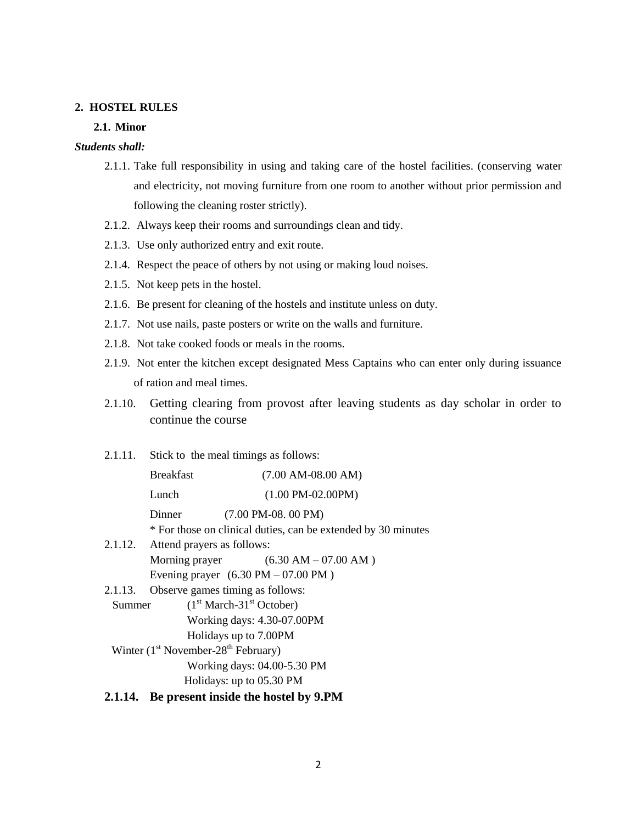#### **2. HOSTEL RULES**

#### **2.1. Minor**

## *Students shall:*

- 2.1.1. Take full responsibility in using and taking care of the hostel facilities. (conserving water and electricity, not moving furniture from one room to another without prior permission and following the cleaning roster strictly).
- 2.1.2. Always keep their rooms and surroundings clean and tidy.
- 2.1.3. Use only authorized entry and exit route.
- 2.1.4. Respect the peace of others by not using or making loud noises.
- 2.1.5. Not keep pets in the hostel.
- 2.1.6. Be present for cleaning of the hostels and institute unless on duty.
- 2.1.7. Not use nails, paste posters or write on the walls and furniture.
- 2.1.8. Not take cooked foods or meals in the rooms.
- 2.1.9. Not enter the kitchen except designated Mess Captains who can enter only during issuance of ration and meal times.
- 2.1.10. Getting clearing from provost after leaving students as day scholar in order to continue the course

#### 2.1.11. Stick to the meal timings as follows:

|                                       | <b>Breakfast</b>                                      | $(7.00$ AM-08.00 AM)                                                                                    |
|---------------------------------------|-------------------------------------------------------|---------------------------------------------------------------------------------------------------------|
|                                       | Lunch                                                 | $(1.00 \text{ PM}-02.00 \text{PM})$                                                                     |
|                                       | Dinner                                                | $(7.00 \text{ PM} - 08.00 \text{ PM})$<br>* For those on clinical duties, can be extended by 30 minutes |
| 2.1.12.                               | Attend prayers as follows:                            | Morning prayer $(6.30 \text{ AM} - 07.00 \text{ AM})$                                                   |
|                                       | Evening prayer $(6.30 \text{ PM} - 07.00 \text{ PM})$ |                                                                                                         |
| 2.1.13.                               | Observe games timing as follows:                      |                                                                                                         |
| $(1st March-31st October)$<br>Summer  |                                                       |                                                                                                         |
| Working days: 4.30-07.00PM            |                                                       |                                                                                                         |
| Holidays up to 7.00PM                 |                                                       |                                                                                                         |
| Winter $(1st November-28th February)$ |                                                       |                                                                                                         |
| Working days: 04.00-5.30 PM           |                                                       |                                                                                                         |
| Holidays: up to 05.30 PM              |                                                       |                                                                                                         |
|                                       |                                                       |                                                                                                         |

#### **2.1.14. Be present inside the hostel by 9.PM**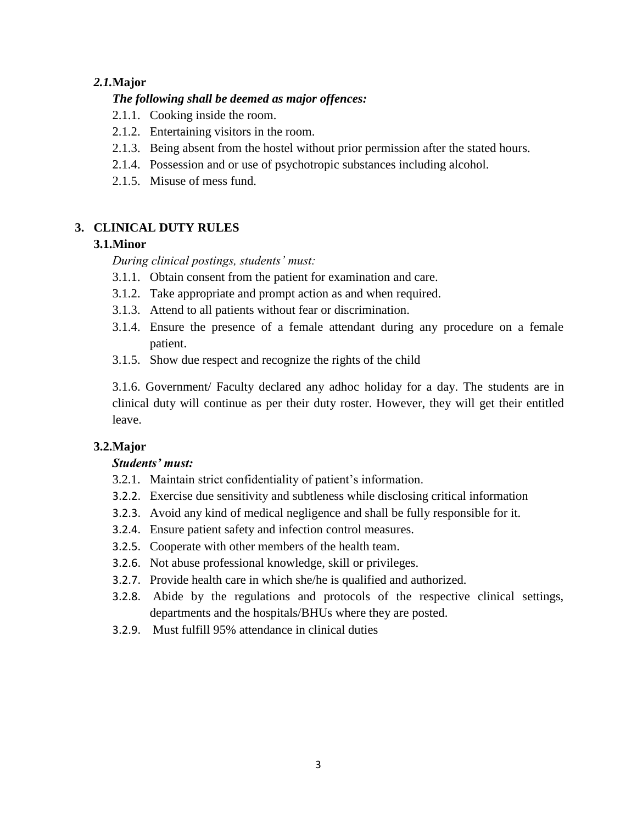# *2.1.***Major**

# *The following shall be deemed as major offences:*

- 2.1.1. Cooking inside the room.
- 2.1.2. Entertaining visitors in the room.
- 2.1.3. Being absent from the hostel without prior permission after the stated hours.
- 2.1.4. Possession and or use of psychotropic substances including alcohol.
- 2.1.5. Misuse of mess fund.

# **3. CLINICAL DUTY RULES**

# **3.1.Minor**

*During clinical postings, students' must:*

- 3.1.1. Obtain consent from the patient for examination and care.
- 3.1.2. Take appropriate and prompt action as and when required.
- 3.1.3. Attend to all patients without fear or discrimination.
- 3.1.4. Ensure the presence of a female attendant during any procedure on a female patient.
- 3.1.5. Show due respect and recognize the rights of the child

3.1.6. Government/ Faculty declared any adhoc holiday for a day. The students are in clinical duty will continue as per their duty roster. However, they will get their entitled leave.

# **3.2.Major**

# *Students' must:*

- 3.2.1. Maintain strict confidentiality of patient's information.
- 3.2.2. Exercise due sensitivity and subtleness while disclosing critical information
- 3.2.3. Avoid any kind of medical negligence and shall be fully responsible for it.
- 3.2.4. Ensure patient safety and infection control measures.
- 3.2.5. Cooperate with other members of the health team.
- 3.2.6. Not abuse professional knowledge, skill or privileges.
- 3.2.7. Provide health care in which she/he is qualified and authorized.
- 3.2.8. Abide by the regulations and protocols of the respective clinical settings, departments and the hospitals/BHUs where they are posted.
- 3.2.9. Must fulfill 95% attendance in clinical duties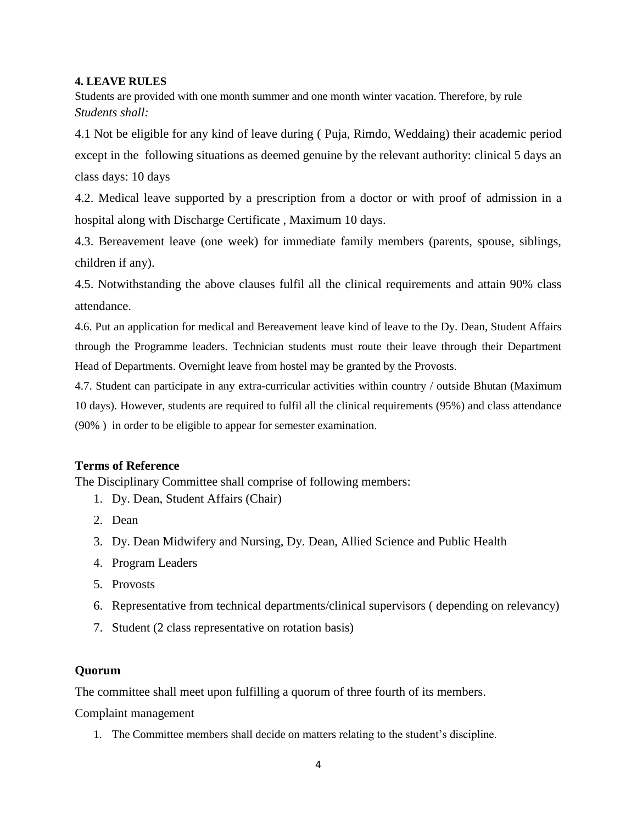### **4. LEAVE RULES**

Students are provided with one month summer and one month winter vacation. Therefore, by rule *Students shall:*

4.1 Not be eligible for any kind of leave during ( Puja, Rimdo, Weddaing) their academic period except in the following situations as deemed genuine by the relevant authority: clinical 5 days an class days: 10 days

4.2. Medical leave supported by a prescription from a doctor or with proof of admission in a hospital along with Discharge Certificate , Maximum 10 days.

4.3. Bereavement leave (one week) for immediate family members (parents, spouse, siblings, children if any).

4.5. Notwithstanding the above clauses fulfil all the clinical requirements and attain 90% class attendance.

4.6. Put an application for medical and Bereavement leave kind of leave to the Dy. Dean, Student Affairs through the Programme leaders. Technician students must route their leave through their Department Head of Departments. Overnight leave from hostel may be granted by the Provosts.

4.7. Student can participate in any extra-curricular activities within country / outside Bhutan (Maximum 10 days). However, students are required to fulfil all the clinical requirements (95%) and class attendance (90% ) in order to be eligible to appear for semester examination.

# **Terms of Reference**

The Disciplinary Committee shall comprise of following members:

- 1. Dy. Dean, Student Affairs (Chair)
- 2. Dean
- 3. Dy. Dean Midwifery and Nursing, Dy. Dean, Allied Science and Public Health
- 4. Program Leaders
- 5. Provosts
- 6. Representative from technical departments/clinical supervisors ( depending on relevancy)
- 7. Student (2 class representative on rotation basis)

### **Quorum**

The committee shall meet upon fulfilling a quorum of three fourth of its members.

Complaint management

1. The Committee members shall decide on matters relating to the student's discipline.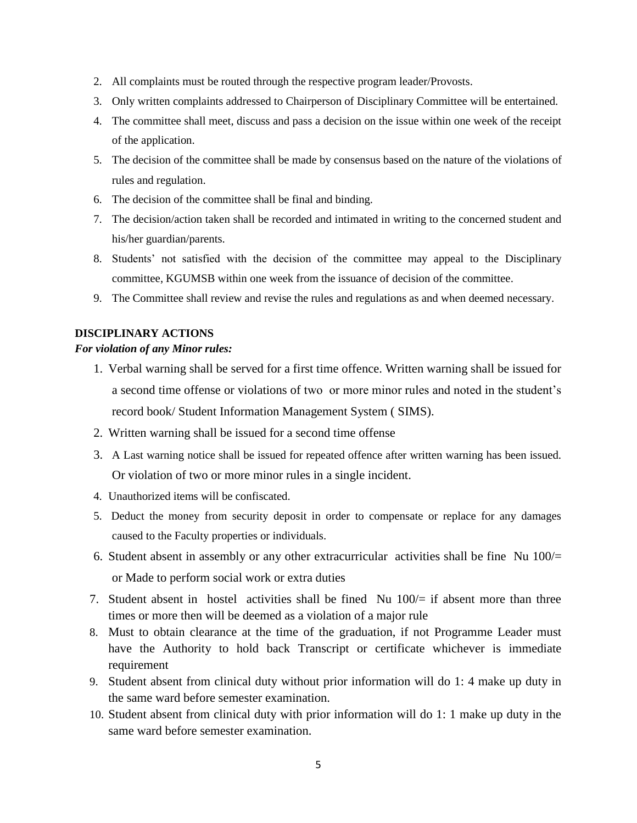- 2. All complaints must be routed through the respective program leader/Provosts.
- 3. Only written complaints addressed to Chairperson of Disciplinary Committee will be entertained.
- 4. The committee shall meet, discuss and pass a decision on the issue within one week of the receipt of the application.
- 5. The decision of the committee shall be made by consensus based on the nature of the violations of rules and regulation.
- 6. The decision of the committee shall be final and binding.
- 7. The decision/action taken shall be recorded and intimated in writing to the concerned student and his/her guardian/parents.
- 8. Students' not satisfied with the decision of the committee may appeal to the Disciplinary committee, KGUMSB within one week from the issuance of decision of the committee.
- 9. The Committee shall review and revise the rules and regulations as and when deemed necessary.

### **DISCIPLINARY ACTIONS**

#### *For violation of any Minor rules:*

- 1. Verbal warning shall be served for a first time offence. Written warning shall be issued for a second time offense or violations of two or more minor rules and noted in the student's record book/ Student Information Management System ( SIMS).
- 2. Written warning shall be issued for a second time offense
- 3. A Last warning notice shall be issued for repeated offence after written warning has been issued. Or violation of two or more minor rules in a single incident.
- 4. Unauthorized items will be confiscated.
- 5. Deduct the money from security deposit in order to compensate or replace for any damages caused to the Faculty properties or individuals.
- 6. Student absent in assembly or any other extracurricular activities shall be fine Nu 100/= or Made to perform social work or extra duties
- 7. Student absent in hostel activities shall be fined Nu  $100/=$  if absent more than three times or more then will be deemed as a violation of a major rule
- 8. Must to obtain clearance at the time of the graduation, if not Programme Leader must have the Authority to hold back Transcript or certificate whichever is immediate requirement
- 9. Student absent from clinical duty without prior information will do 1: 4 make up duty in the same ward before semester examination.
- 10. Student absent from clinical duty with prior information will do 1: 1 make up duty in the same ward before semester examination.